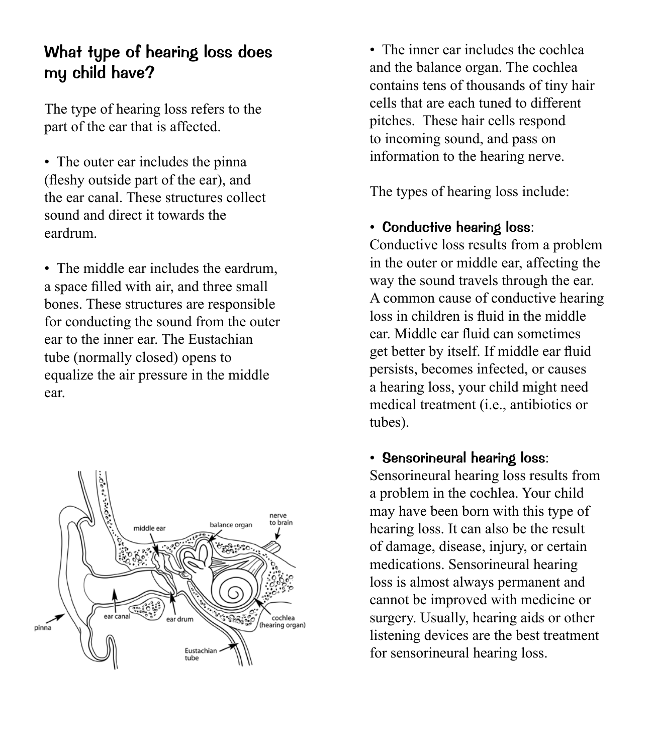## What type of hearing loss does my child have?

The type of hearing loss refers to the part of the ear that is affected.

• The outer ear includes the pinna (fleshy outside part of the ear), and the ear canal. These structures collect sound and direct it towards the eardrum.

• The middle ear includes the eardrum, a space filled with air, and three small bones. These structures are responsible for conducting the sound from the outer ear to the inner ear. The Eustachian tube (normally closed) opens to equalize the air pressure in the middle ear.



• The inner ear includes the cochlea and the balance organ. The cochlea contains tens of thousands of tiny hair cells that are each tuned to different pitches. These hair cells respond to incoming sound, and pass on information to the hearing nerve.

The types of hearing loss include:

#### • Conductive hearing loss:

Conductive loss results from a problem in the outer or middle ear, affecting the way the sound travels through the ear. A common cause of conductive hearing loss in children is fluid in the middle ear. Middle ear fluid can sometimes get better by itself. If middle ear fluid persists, becomes infected, or causes a hearing loss, your child might need medical treatment (i.e., antibiotics or tubes).

• Sensorineural hearing loss:

Sensorineural hearing loss results from a problem in the cochlea. Your child may have been born with this type of hearing loss. It can also be the result of damage, disease, injury, or certain medications. Sensorineural hearing loss is almost always permanent and cannot be improved with medicine or surgery. Usually, hearing aids or other listening devices are the best treatment for sensorineural hearing loss.